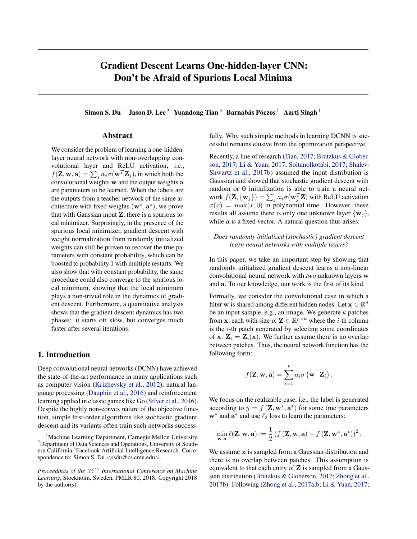# Gradient Descent Learns One-hidden-layer CNN: Don't be Afraid of Spurious Local Minima

Simon S. Du<sup>1</sup> Jason D. Lee<sup>2</sup> Yuandong Tian<sup>3</sup> Barnabás Póczos<sup>1</sup> Aarti Singh<sup>1</sup>

### Abstract

We consider the problem of learning a one-hiddenlayer neural network with non-overlapping convolutional layer and ReLU activation, i.e.,  $f(\mathbf{Z}, \mathbf{w}, \mathbf{a}) = \sum_{j} a_j \sigma(\mathbf{w}^T \mathbf{Z}_j)$ , in which both the convolutional weights w and the output weights a are parameters to be learned. When the labels are the outputs from a teacher network of the same architecture with fixed weights  $(\mathbf{w}^*, \mathbf{a}^*)$ , we prove that with Gaussian input  $Z$ , there is a spurious local minimizer. Surprisingly, in the presence of the spurious local minimizer, gradient descent with weight normalization from randomly initialized weights can still be proven to recover the true parameters with constant probability, which can be boosted to probability 1 with multiple restarts. We also show that with constant probability, the same procedure could also converge to the spurious local minimum, showing that the local minimum plays a non-trivial role in the dynamics of gradient descent. Furthermore, a quantitative analysis shows that the gradient descent dynamics has two phases: it starts off slow, but converges much faster after several iterations.

### 1. Introduction

Deep convolutional neural networks (DCNN) have achieved the state-of-the-art performance in many applications such as computer vision (Krizhevsky et al., 2012), natural language processing (Dauphin et al., 2016) and reinforcement learning applied in classic games like Go (Silver et al., 2016). Despite the highly non-convex nature of the objective function, simple first-order algorithms like stochastic gradient descent and its variants often train such networks successfully. Why such simple methods in learning DCNN is successful remains elusive from the optimization perspective.

Recently, a line of research (Tian, 2017; Brutzkus & Globerson, 2017; Li & Yuan, 2017; Soltanolkotabi, 2017; Shalev-Shwartz et al., 2017b) assumed the input distribution is Gaussian and showed that stochastic gradient descent with random or 0 initialization is able to train a neural network  $f(\mathbf{Z}, {\mathbf{w}_j}) = \sum_j a_j \sigma(\mathbf{w}_j^T \mathbf{Z})$  with ReLU activation  $\sigma(x) = \max(x, 0)$  in polynomial time. However, these results all assume there is only one unknown layer  $\{w_i\}$ , while a is a fixed vector. A natural question thus arises:

#### *Does randomly initialized (stochastic) gradient descent learn neural networks with multiple layers?*

In this paper, we take an important step by showing that randomly initialized gradient descent learns a non-linear convolutional neural network with *two* unknown layers w and a. To our knowledge, our work is the first of its kind.

Formally, we consider the convolutional case in which a filter **w** is shared among different hidden nodes. Let  $\mathbf{x} \in \mathbb{R}^d$ be an input sample, e.g., an image. We generate *k* patches from **x**, each with size  $p: \mathbf{Z} \in \mathbb{R}^{p \times k}$  where the *i*-th column is the *i*-th patch generated by selecting some coordinates of x:  $\mathbf{Z}_i = \mathbf{Z}_i(\mathbf{x})$ . We further assume there is no overlap between patches. Thus, the neural network function has the following form:

$$
f(\mathbf{Z}, \mathbf{w}, \mathbf{a}) = \sum_{i=1}^{k} a_i \sigma\left(\mathbf{w}^\top \mathbf{Z}_i\right).
$$

We focus on the realizable case, i.e., the label is generated according to  $y = f(\mathbf{Z}, \mathbf{w}^*, \mathbf{a}^*)$  for some true parameters  $\mathbf{w}^*$  and  $\mathbf{a}^*$  and use  $\ell_2$  loss to learn the parameters:

$$
\min_{\mathbf{w}, \mathbf{a}} \ell(\mathbf{Z}, \mathbf{w}, \mathbf{a}) := \frac{1}{2} \left( f\left(\mathbf{Z}, \mathbf{w}, \mathbf{a}\right) - f\left(\mathbf{Z}, \mathbf{w}^*, \mathbf{a}^*\right) \right)^2.
$$

We assume x is sampled from a Gaussian distribution and there is no overlap between patches. This assumption is equivalent to that each entry of  $Z$  is sampled from a Gaussian distribution (Brutzkus & Globerson, 2017; Zhong et al., 2017b). Following (Zhong et al., 2017a;b; Li & Yuan, 2017;

<sup>&</sup>lt;sup>1</sup> Machine Learning Department, Carnegie Mellon University<br><sup>2</sup> Department of Data Sciences and Operations, University of South <sup>2</sup>Department of Data Sciences and Operations, University of Southern California<sup>3</sup> Facebook Artificial Intelligence Research. Correspondence to: Simon S. Du *<*ssdu@cs.cmu.edu*>*.

*Proceedings of the 35 th International Conference on Machine Learning*, Stockholm, Sweden, PMLR 80, 2018. Copyright 2018 by the author(s).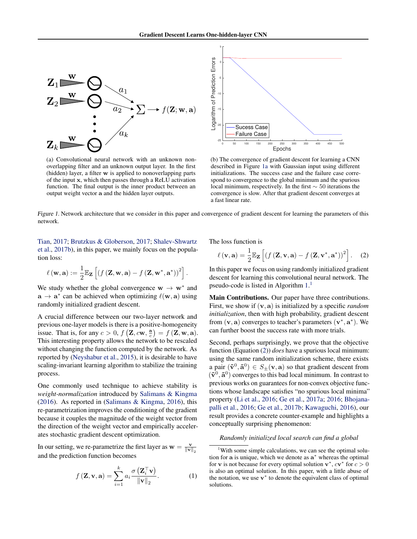

(a) Convolutional neural network with an unknown nonoverlapping filter and an unknown output layer. In the first (hidden) layer, a filter w is applied to nonoverlapping parts of the input x, which then passes through a ReLU activation function. The final output is the inner product between an output weight vector a and the hidden layer outputs.



(b) The convergence of gradient descent for learning a CNN described in Figure 1a with Gaussian input using different initializations. The success case and the failure case correspond to convergence to the global minimum and the spurious local minimum, respectively. In the first  $\sim$  50 iterations the convergence is slow. After that gradient descent converges at a fast linear rate.

*Figure 1.* Network architecture that we consider in this paper and convergence of gradient descent for learning the parameters of this network.

Tian, 2017; Brutzkus & Globerson, 2017; Shalev-Shwartz et al., 2017b), in this paper, we mainly focus on the population loss:

$$
\ell(\mathbf{w}, \mathbf{a}) := \frac{1}{2} \mathbb{E}_{\mathbf{Z}} \left[ \left( f\left(\mathbf{Z}, \mathbf{w}, \mathbf{a}\right) - f\left(\mathbf{Z}, \mathbf{w}^*, \mathbf{a}^*\right)\right)^2 \right].
$$

We study whether the global convergence  $w \rightarrow w^*$  and  $a \rightarrow a^*$  can be achieved when optimizing  $\ell(w, a)$  using randomly initialized gradient descent.

A crucial difference between our two-layer network and previous one-layer models is there is a positive-homogeneity issue. That is, for any  $c > 0$ ,  $f\left(\mathbf{Z}, c\mathbf{w}, \frac{\mathbf{a}}{c}\right) = f\left(\mathbf{Z}, \mathbf{w}, \mathbf{a}\right)$ . This interesting property allows the network to be rescaled without changing the function computed by the network. As reported by (Neyshabur et al., 2015), it is desirable to have scaling-invariant learning algorithm to stabilize the training process.

One commonly used technique to achieve stability is *weight-normalization* introduced by Salimans & Kingma (2016). As reported in (Salimans & Kingma, 2016), this re-parametrization improves the conditioning of the gradient because it couples the magnitude of the weight vector from the direction of the weight vector and empirically accelerates stochastic gradient descent optimization.

In our setting, we re-parametrize the first layer as  $\mathbf{w} = \frac{\mathbf{v}}{\|\mathbf{v}\|_2}$ and the prediction function becomes

$$
f(\mathbf{Z}, \mathbf{v}, \mathbf{a}) = \sum_{i=1}^{k} a_i \frac{\sigma(\mathbf{Z}_i^{\top} \mathbf{v})}{\|\mathbf{v}\|_2}.
$$
 (1)

The loss function is

$$
\ell(\mathbf{v}, \mathbf{a}) = \frac{1}{2} \mathbb{E}_{\mathbf{Z}} \left[ \left( f\left(\mathbf{Z}, \mathbf{v}, \mathbf{a}\right) - f\left(\mathbf{Z}, \mathbf{v}^*, \mathbf{a}^*\right) \right)^2 \right].
$$
 (2)

In this paper we focus on using randomly initialized gradient descent for learning this convolutional neural network. The pseudo-code is listed in Algorithm 1. 1

Main Contributions. Our paper have three contributions. First, we show if (v*,* a) is initialized by a specific *random initialization*, then with high probability, gradient descent from  $(v, a)$  converges to teacher's parameters  $(v^*, a^*)$ . We can further boost the success rate with more trials.

Second, perhaps surprisingly, we prove that the objective function (Equation (2)) *does* have a spurious local minimum: using the same random initialization scheme, there exists a pair  $(\tilde{\mathbf{v}}^0, \tilde{\mathbf{a}}^0) \in S_{\pm}(\mathbf{v}, \mathbf{a})$  so that gradient descent from  $(\tilde{\mathbf{v}}^0, \tilde{\mathbf{a}}^0)$  converges to this bad local minimum. In contrast to previous works on guarantees for non-convex objective functions whose landscape satisfies "no spurious local minima" property (Li et al., 2016; Ge et al., 2017a; 2016; Bhojanapalli et al., 2016; Ge et al., 2017b; Kawaguchi, 2016), our result provides a concrete counter-example and highlights a conceptually surprising phenomenon:

#### *Randomly initialized local search can find a global*

<sup>1</sup>With some simple calculations, we can see the optimal solution for a is unique, which we denote as  $a^*$  whereas the optimal for **v** is not because for every optimal solution  $\mathbf{v}^*$ ,  $c\mathbf{v}^*$  for  $c > 0$ is also an optimal solution. In this paper, with a little abuse of the notation, we use  $v^*$  to denote the equivalent class of optimal solutions.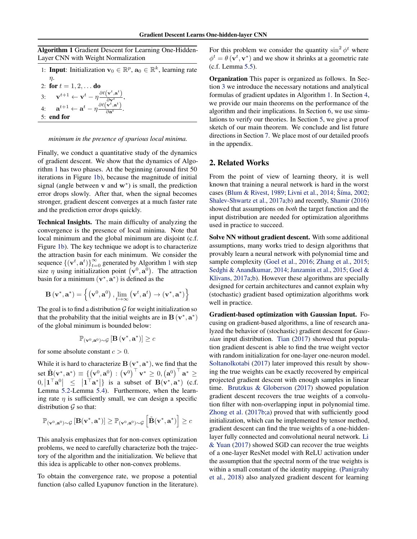Algorithm 1 Gradient Descent for Learning One-Hidden-Layer CNN with Weight Normalization

1: **Input**: Initialization  $\mathbf{v}_0 \in \mathbb{R}^p$ ,  $\mathbf{a}_0 \in \mathbb{R}^k$ , learning rate  $\eta$ .

2: for  $t = 1, 2, ...$  do  $3: \qquad \mathbf{v}^{t+1} \leftarrow \mathbf{v}^{t} - \eta \frac{\partial \ell\left(\mathbf{v}^{t}, \mathbf{a}^{t}\right)}{\partial \mathbf{v}^{t}},$  $4: \quad \mathbf{a}^{t+1} \leftarrow \mathbf{a}^{t} - \eta \frac{\partial \ell \left(\mathbf{v}^{t}, \mathbf{a}^{t}\right)}{\partial \mathbf{a}^{t}}.$ 5: end for

#### *minimum in the presence of spurious local minima.*

Finally, we conduct a quantitative study of the dynamics of gradient descent. We show that the dynamics of Algorithm 1 has two phases. At the beginning (around first 50 iterations in Figure 1b), because the magnitude of initial signal (angle between  $v$  and  $w^*$ ) is small, the prediction error drops slowly. After that, when the signal becomes stronger, gradient descent converges at a much faster rate and the prediction error drops quickly.

Technical Insights. The main difficulty of analyzing the convergence is the presence of local minima. Note that local minimum and the global minimum are disjoint (c.f. Figure 1b). The key technique we adopt is to characterize the attraction basin for each minimum. We consider the sequence  $\{(\mathbf{v}^t, \mathbf{a}^t)\}_{t=0}^{\infty}$  generated by Algorithm 1 with step size  $\eta$  using initialization point  $(\mathbf{v}^0, \mathbf{a}^0)$ . The attraction basin for a minimum  $(\mathbf{v}^*, \mathbf{a}^*)$  is defined as the

$$
\mathbf{B}\left(\mathbf{v}^{*}, \mathbf{a}^{*}\right)=\left\{\left(\mathbf{v}^{0}, \mathbf{a}^{0}\right), \lim _{t \rightarrow \infty}\left(\mathbf{v}^{t}, \mathbf{a}^{t}\right) \rightarrow\left(\mathbf{v}^{*}, \mathbf{a}^{*}\right)\right\}
$$

The goal is to find a distribution  $\mathcal G$  for weight initialization so that the probability that the initial weights are in  $\mathbf{B}(\mathbf{v}^*, \mathbf{a}^*)$ of the global minimum is bounded below:

$$
\mathbb{P}_{(\mathbf{v}^0, \mathbf{a}^0)\sim \mathcal{G}}\left[\mathbf{B}\left(\mathbf{v}^*, \mathbf{a}^*\right)\right] \geq c
$$

for some absolute constant *c >* 0.

While it is hard to characterize  $B(v^*, a^*)$ , we find that the  $\text{set } \tilde{\mathbf{B}}(\mathbf{v}^*, \mathbf{a}^*) \equiv \{ \left(\mathbf{v}^0, \mathbf{a}^0 \right) \, : \, \left(\mathbf{v}^0\right)^\top \mathbf{v}^* \geq 0, \left(\mathbf{a}^0\right)^\top \mathbf{a}^* \geq 0\}$  $0, |\mathbf{1}^\top \mathbf{a}^0| \leq |\mathbf{1}^\top \mathbf{a}^*|$  is a subset of  $\mathbf{B}(\mathbf{v}^*, \mathbf{a}^*)$  (c.f. Lemma 5.2-Lemma 5.4). Furthermore, when the learning rate  $\eta$  is sufficiently small, we can design a specific distribution  $G$  so that:

$$
\mathbb{P}_{(\mathbf{v}^0, \mathbf{a}^0)\sim \mathcal{G}}\left[\mathbf{B}(\mathbf{v}^*, \mathbf{a}^*)\right] \geq \mathbb{P}_{(\mathbf{v}^0, \mathbf{a}^0)\sim \mathcal{G}}\left[\tilde{\mathbf{B}}(\mathbf{v}^*, \mathbf{a}^*)\right] \geq c
$$

This analysis emphasizes that for non-convex optimization problems, we need to carefully characterize both the trajectory of the algorithm and the initialization. We believe that this idea is applicable to other non-convex problems.

To obtain the convergence rate, we propose a potential function (also called Lyapunov function in the literature). For this problem we consider the quantity  $\sin^2 \phi^t$  where  $\phi^t = \theta(\mathbf{v}^t, \mathbf{v}^*)$  and we show it shrinks at a geometric rate (c.f. Lemma 5.5).

Organization This paper is organized as follows. In Section 3 we introduce the necessary notations and analytical formulas of gradient updates in Algorithm 1. In Section 4, we provide our main theorems on the performance of the algorithm and their implications. In Section 6, we use simulations to verify our theories. In Section 5, we give a proof sketch of our main theorem. We conclude and list future directions in Section 7. We place most of our detailed proofs in the appendix.

### 2. Related Works

From the point of view of learning theory, it is well known that training a neural network is hard in the worst cases (Blum & Rivest, 1989; Livni et al., 2014; Šíma, 2002; Shalev-Shwartz et al., 2017a;b) and recently, Shamir (2016) showed that assumptions on *both* the target function and the input distribution are needed for optimization algorithms used in practice to succeed.

Solve NN without gradient descent. With some additional assumptions, many works tried to design algorithms that provably learn a neural network with polynomial time and sample complexity (Goel et al., 2016; Zhang et al., 2015; Sedghi & Anandkumar, 2014; Janzamin et al., 2015; Goel & Klivans, 2017a;b). However these algorithms are specially designed for certain architectures and cannot explain why (stochastic) gradient based optimization algorithms work well in practice.

Gradient-based optimization with Gaussian Input. Focusing on gradient-based algorithms, a line of research analyzed the behavior of (stochastic) gradient descent for *Gaussian* input distribution. Tian (2017) showed that population gradient descent is able to find the true weight vector with random initialization for one-layer one-neuron model. Soltanolkotabi (2017) later improved this result by showing the true weights can be exactly recovered by empirical projected gradient descent with enough samples in linear time. Brutzkus & Globerson (2017) showed population gradient descent recovers the true weights of a convolution filter with non-overlapping input in polynomial time. Zhong et al. (2017b;a) proved that with sufficiently good initialization, which can be implemented by tensor method, gradient descent can find the true weights of a one-hiddenlayer fully connected and convolutional neural network. Li & Yuan (2017) showed SGD can recover the true weights of a one-layer ResNet model with ReLU activation under the assumption that the spectral norm of the true weights is within a small constant of the identity mapping. (Panigrahy et al., 2018) also analyzed gradient descent for learning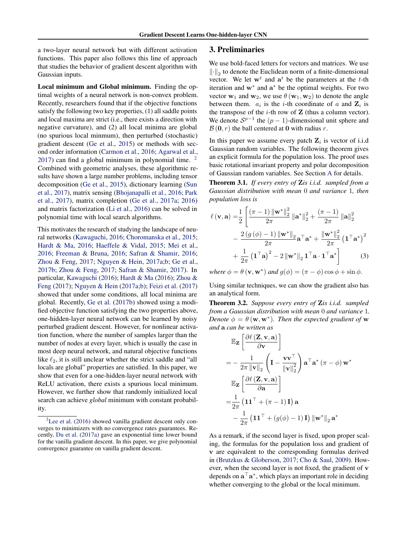a two-layer neural network but with different activation functions. This paper also follows this line of approach that studies the behavior of gradient descent algorithm with Gaussian inputs.

Local minimum and Global minimum. Finding the optimal weights of a neural network is non-convex problem. Recently, researchers found that if the objective functions satisfy the following two key properties, (1) all saddle points and local maxima are strict (i.e., there exists a direction with negative curvature), and (2) all local minima are global (no spurious local minmum), then perturbed (stochastic) gradient descent (Ge et al., 2015) or methods with second order information (Carmon et al., 2016; Agarwal et al.,  $2017$ ) can find a global minimum in polynomial time. <sup>2</sup> Combined with geometric analyses, these algorithmic results have shown a large number problems, including tensor decomposition (Ge et al., 2015), dictionary learning (Sun et al., 2017), matrix sensing (Bhojanapalli et al., 2016; Park et al., 2017), matrix completion (Ge et al., 2017a; 2016) and matrix factorization (Li et al., 2016) can be solved in polynomial time with local search algorithms.

This motivates the research of studying the landscape of neural networks (Kawaguchi, 2016; Choromanska et al., 2015; Hardt & Ma, 2016; Haeffele & Vidal, 2015; Mei et al., 2016; Freeman & Bruna, 2016; Safran & Shamir, 2016; Zhou & Feng, 2017; Nguyen & Hein, 2017a;b; Ge et al., 2017b; Zhou & Feng, 2017; Safran & Shamir, 2017). In particular, Kawaguchi (2016); Hardt & Ma (2016); Zhou & Feng (2017); Nguyen & Hein (2017a;b); Feizi et al. (2017) showed that under some conditions, all local minima are global. Recently, Ge et al. (2017b) showed using a modified objective function satisfying the two properties above, one-hidden-layer neural network can be learned by noisy perturbed gradient descent. However, for nonlinear activation function, where the number of samples larger than the number of nodes at every layer, which is usually the case in most deep neural network, and natural objective functions like  $\ell_2$ , it is still unclear whether the strict saddle and "all locals are global" properties are satisfied. In this paper, we show that even for a one-hidden-layer neural network with ReLU activation, there exists a spurious local minimum. However, we further show that randomly initialized local search can achieve *global* minimum with constant probability.

## 3. Preliminaries

We use bold-faced letters for vectors and matrices. We use  $\|\cdot\|_2$  to denote the Euclidean norm of a finite-dimensional vector. We let  $w^t$  and  $a^t$  be the parameters at the *t*-th iteration and  $w^*$  and  $a^*$  be the optimal weights. For two vector  $w_1$  and  $w_2$ , we use  $\theta(w_1, w_2)$  to denote the angle between them.  $a_i$  is the *i*-th coordinate of *a* and  $\mathbf{Z}_i$  is the transpose of the  $i$ -th row of  $Z$  (thus a column vector). We denote  $S^{p-1}$  the  $(p-1)$ -dimensional unit sphere and  $B(0, r)$  the ball centered at 0 with radius *r*.

In this paper we assume every patch  $Z_i$  is vector of i.i.d Gaussian random variables. The following theorem gives an explicit formula for the population loss. The proof uses basic rotational invariant property and polar decomposition of Gaussian random variables. See Section A for details.

Theorem 3.1. *If every entry of* Z*is i.i.d. sampled from a Gaussian distribution with mean* 0 *and variance* 1*, then population loss is*

$$
\ell(\mathbf{v}, \mathbf{a}) = \frac{1}{2} \left[ \frac{(\pi - 1) \left\| \mathbf{w}^* \right\|_2^2}{2\pi} \left\| \mathbf{a}^* \right\|_2^2 + \frac{(\pi - 1)}{2\pi} \left\| \mathbf{a} \right\|_2^2 - \frac{2 \left( g \left( \phi \right) - 1 \right) \left\| \mathbf{w}^* \right\|_2}{2\pi} \mathbf{a}^\top \mathbf{a}^* + \frac{\left\| \mathbf{w}^* \right\|_2^2}{2\pi} \left( \mathbf{1}^\top \mathbf{a}^* \right)^2 + \frac{1}{2\pi} \left( \mathbf{1}^\top \mathbf{a} \right)^2 - 2 \left\| \mathbf{w}^* \right\|_2 \mathbf{1}^\top \mathbf{a} \cdot \mathbf{1}^\top \mathbf{a}^* \right] \tag{3}
$$

*where*  $\phi = \theta(\mathbf{v}, \mathbf{w}^*)$  *and*  $g(\phi) = (\pi - \phi) \cos \phi + \sin \phi$ .

Using similar techniques, we can show the gradient also has an analytical form.

Theorem 3.2. *Suppose every entry of* Z*is i.i.d. sampled from a Gaussian distribution with mean* 0 *and variance* 1*. Denote*  $\phi = \theta(\mathbf{w}, \mathbf{w}^*)$ *. Then the expected gradient of* w *and* a *can be written as*

$$
\mathbb{E}_{\mathbf{Z}}\left[\frac{\partial \ell\left(\mathbf{Z}, \mathbf{v}, \mathbf{a}\right)}{\partial \mathbf{v}}\right]
$$
\n
$$
= -\frac{1}{2\pi \left\|\mathbf{v}\right\|_2} \left(\mathbf{I} - \frac{\mathbf{v}\mathbf{v}^\top}{\left\|\mathbf{v}\right\|_2^2}\right) \mathbf{a}^\top \mathbf{a}^* \left(\pi - \phi\right) \mathbf{w}^*
$$
\n
$$
\mathbb{E}_{\mathbf{Z}}\left[\frac{\partial \ell\left(\mathbf{Z}, \mathbf{v}, \mathbf{a}\right)}{\partial \mathbf{a}}\right]
$$
\n
$$
= \frac{1}{2\pi} \left(\mathbf{1}\mathbf{1}^\top + \left(\pi - 1\right)\mathbf{I}\right) \mathbf{a}
$$
\n
$$
- \frac{1}{2\pi} \left(\mathbf{1}\mathbf{1}^\top + \left(g(\phi) - 1\right)\mathbf{I}\right) \left\|\mathbf{w}^*\right\|_2 \mathbf{a}^*
$$

As a remark, if the second layer is fixed, upon proper scaling, the formulas for the population loss and gradient of v are equivalent to the corresponding formulas derived in (Brutzkus & Globerson, 2017; Cho & Saul, 2009). However, when the second layer is not fixed, the gradient of v depends on  $\mathbf{a}^\top \mathbf{a}^*$ , which plays an important role in deciding whether converging to the global or the local minimum.

 $2$ Lee et al. (2016) showed vanilla gradient descent only converges to minimizers with no convergence rates guarantees. Recently, Du et al. (2017a) gave an exponential time lower bound for the vanilla gradient descent. In this paper, we give polynomial convergence guarantee on vanilla gradient descent.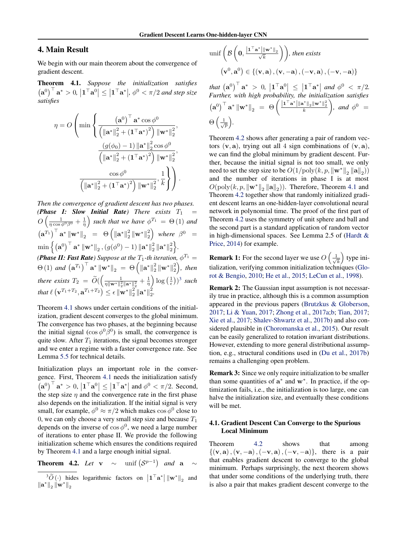### 4. Main Result

We begin with our main theorem about the convergence of gradient descent.

Theorem 4.1. *Suppose the initialization satisfies*  $(a^0)^{\top}$ **a**<sup>\*</sup> > 0,  $|1^{\top}a^0| \le |1^{\top}a^*|$ ,  $\phi^0 < \pi/2$  and step size *satisfies*

$$
\eta = O\left(\min\left\{\frac{\left(\mathbf{a}^{0}\right)^{\top}\mathbf{a}^{*}\cos\phi^{0}}{\left(\left\|\mathbf{a}^{*}\right\|_{2}^{2} + \left(1^{\top}\mathbf{a}^{*}\right)^{2}\right)\left\|\mathbf{w}^{*}\right\|_{2}^{2}}, \frac{\left(g(\phi_{0}) - 1\right)\left\|\mathbf{a}^{*}\right\|_{2}^{2}\cos\phi^{0}}{\left(\left\|\mathbf{a}^{*}\right\|_{2}^{2} + \left(1^{\top}\mathbf{a}^{*}\right)^{2}\right)\left\|\mathbf{w}^{*}\right\|_{2}^{2}}, \frac{\cos\phi^{0}}{\left(\left\|\mathbf{a}^{*}\right\|_{2}^{2} + \left(1^{\top}\mathbf{a}^{*}\right)^{2}\right)\left\|\mathbf{w}^{*}\right\|_{2}^{2}}, \frac{1}{k}\right\}\right).
$$

*Then the convergence of gradient descent has two phases. (Phase I: Slow Initial Rate) There exists*  $T_1$  $O\left(\frac{1}{\eta\cos\phi^0\beta^0}+\frac{1}{\eta}\right)$ ) such that we have  $\phi^{T_1} = \Theta(1)$  and  $\left(\mathbf{a}^{T_1}\right)^{\top} \mathbf{a}^* \left\|\mathbf{w}^*\right\|_2^2 = \Theta\left(\left\|\mathbf{a}^*\right\|_2^2 \left\|\mathbf{w}^*\right\|_2^2\right)$  where  $\beta^0 =$  $\min\Big\{\left(\mathbf{a}^0\right)^\top \mathbf{a}^* \left\|\mathbf{w}^*\right\|_2, (g(\phi^0) - 1) \left\|\mathbf{a}^*\right\|_2^2\left\|\mathbf{a}^*\right\|_2^2\Big\}.$ *(Phase II: Fast Rate)* Suppose at the  $T_1$ -th iteration,  $\phi^{T_1}$  =  $\Theta(1)$  and  $({\bf a}^{T_1})^{\top} {\bf a}^* {\|\bf w}^* \|_2 = \Theta\left( \|{\bf a}^*\|_2^2 \|{\bf w}^*\|_2^2 \right)$ , then *there exists*  $T_2 = \widetilde{O}(\left(\frac{1}{\eta \|\mathbf{w}^*\|_2^2}\right))$  $\frac{1}{\eta\|\mathbf{w}^*\|_2^2\|\mathbf{a}^*\|_2^2}+\frac{1}{\eta}$  $\log\left(\frac{1}{\epsilon}\right)^3$  such *that* ` v*<sup>T</sup>*1+*T*<sup>2</sup> *,* a*<sup>T</sup>*1+*T*<sup>2</sup> ✏ kw⇤k 2 <sup>2</sup> ka⇤k 2 2*.*

Theorem 4.1 shows under certain conditions of the initialization, gradient descent converges to the global minimum. The convergence has two phases, at the beginning because the initial signal ( $\cos \phi^0 \bar{\beta}^0$ ) is small, the convergence is quite slow. After  $T_1$  iterations, the signal becomes stronger and we enter a regime with a faster convergence rate. See Lemma 5.5 for technical details.

Initialization plays an important role in the convergence. First, Theorem 4.1 needs the initialization satisfy  $(a^0)^{\top}$   $a^* > 0$ ,  $|1^{\top}a^0| \le |1^{\top}a^*|$  and  $\phi^0 < \pi/2$ . Second, the step size  $\eta$  and the convergence rate in the first phase also depends on the initialization. If the initial signal is very small, for example,  $\phi^0 \approx \pi/2$  which makes  $\cos \phi^0$  close to 0, we can only choose a very small step size and because  $T_1$ depends on the inverse of  $\cos \phi^0$ , we need a large number of iterations to enter phase II. We provide the following initialization scheme which ensures the conditions required by Theorem 4.1 and a large enough initial signal.

**Theorem 4.2.** Let **v**  $\sim$  unif  $(S^{p-1})$  and **a**  $\sim$ 

$$
\begin{aligned}\n\text{unif}\left(\mathcal{B}\left(\mathbf{0},\frac{\left|\mathbf{1}^{\top}\mathbf{a}^{*}\right|\left\|\mathbf{w}^{*}\right\|_{2}}{\sqrt{k}}\right)\right), \text{ then exists} \\
\left(\mathbf{v}^{0},\mathbf{a}^{0}\right) \in \left\{ \left(\mathbf{v},\mathbf{a}\right),\left(\mathbf{v},-\mathbf{a}\right),\left(-\mathbf{v},\mathbf{a}\right),\left(-\mathbf{v},-\mathbf{a}\right)\right\}\n\end{aligned}
$$

 $\int \int \mathbf{a}^*$  > 0,  $\left| \mathbf{1}^\top \mathbf{a}^0 \right| \leq \left| \mathbf{1}^\top \mathbf{a}^* \right|$  and  $\phi^0 < \pi/2$ . *Further, with high probability, the initialization satisfies*  $\left(\mathbf{a}^0\right)^{\top} \mathbf{a}^* \left\|\mathbf{w}^*\right\|_2 = \Theta\left(\frac{\left|\mathbf{1}^{\top} \mathbf{a}^*\right| \|\mathbf{a}^*\|_2 \|\mathbf{w}^*\|_2^2}{k}\right)$  $\Big)$ *, and*  $\phi^0$  =  $\Theta\left(\frac{1}{\sqrt{p}}\right)$ ⌘ *.*

Theorem 4.2 shows after generating a pair of random vectors  $(v, a)$ , trying out all 4 sign combinations of  $(v, a)$ , we can find the global minimum by gradient descent. Further, because the initial signal is not too small, we only need to set the step size to be  $O(1/\text{poly}(k, p, \|\mathbf{w}^*\|_2 \|\mathbf{a}\|_2))$ and the number of iterations in phase I is at most  $O(poly(k, p, ||\mathbf{w}^*||_2 ||\mathbf{a}||_2))$ . Therefore, Theorem 4.1 and Theorem 4.2 together show that randomly initialized gradient descent learns an one-hidden-layer convolutional neural network in polynomial time. The proof of the first part of Theorem 4.2 uses the symmetry of unit sphere and ball and the second part is a standard application of random vector in high-dimensional spaces. See Lemma 2.5 of (Hardt & Price, 2014) for example.

**Remark 1:** For the second layer we use  $O\left(\frac{1}{\sqrt{2}}\right)$ *k* ⌘ type initialization, verifying common initialization techniques (Glorot & Bengio, 2010; He et al., 2015; LeCun et al., 1998).

Remark 2: The Gaussian input assumption is not necessarily true in practice, although this is a common assumption appeared in the previous papers (Brutzkus & Globerson, 2017; Li & Yuan, 2017; Zhong et al., 2017a;b; Tian, 2017; Xie et al., 2017; Shalev-Shwartz et al., 2017b) and also considered plausible in (Choromanska et al., 2015). Our result can be easily generalized to rotation invariant distributions. However, extending to more general distributional assumption, e.g., structural conditions used in (Du et al., 2017b) remains a challenging open problem.

Remark 3: Since we only require initialization to be smaller than some quantities of  $a^*$  and  $w^*$ . In practice, if the optimization fails, i.e., the initialization is too large, one can halve the initialization size, and eventually these conditions will be met.

#### 4.1. Gradient Descent Can Converge to the Spurious Local Minimum

Theorem 4.2 shows that among  $\{(\mathbf{v}, \mathbf{a}), (\mathbf{v}, -\mathbf{a}), (-\mathbf{v}, \mathbf{a}), (-\mathbf{v}, -\mathbf{a})\}$ , there is a pair that enables gradient descent to converge to the global minimum. Perhaps surprisingly, the next theorem shows that under some conditions of the underlying truth, there is also a pair that makes gradient descent converge to the

 $\left\| \frac{3\widetilde{O}}{N} \right\|_{2}$  hides logarithmic factors on  $\left\| \mathbf{1}^{\top} \mathbf{a}^{*} \right\| \left\| \mathbf{w}^{*} \right\|_{2}$  and  $\|\mathbf{a}^*\|_2 \|\mathbf{w}^*\|_2$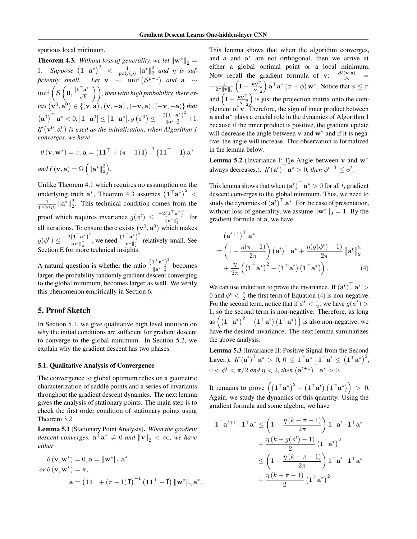spurious local minimum.

**Theorem 4.3.** *Without loss of generality, we let*  $\|\mathbf{w}^*\|_2 =$ 1. Suppose  $(1^{\top}a^*)^2 < \frac{1}{\text{poly}(p)} ||a^*||_2^2$  and  $\eta$  is suf*ficiently small.* Let  $\mathbf{v} \sim \text{unif} (\mathcal{S}^{p-1})$  and  $\mathbf{a} \sim$  $\text{unif}\left(\beta\right)$  $\left(0, \frac{\left|1^{T} \mathbf{a}^{*}\right|}{\sqrt{k}}\right)\right)$ , then with high probability, there ex- $\left(\mathbf{v}^0, \mathbf{a}^0\right) \in \left\{ \left(\mathbf{v}, \mathbf{a}\right), \left(\mathbf{v}, -\mathbf{a}\right), \left(-\mathbf{v}, \mathbf{a}\right), \left(-\mathbf{v}, -\mathbf{a}\right)\right\}$  that  $\left(\mathbf{a}^0\right)^{\top} \mathbf{a}^* < 0, \left|\mathbf{1}^{\top} \mathbf{a}^0\right| \leq \left|\mathbf{1}^{\top} \mathbf{a}^* \right|, g\left(\phi^0\right) \leq \frac{-2\left(\mathbf{1}^{\top} \mathbf{a}^*\right)^2}{\|\mathbf{a}^*\|_2^2}$  $\frac{(1 - \alpha)}{\|\mathbf{a}^*\|_2^2} + 1.$ If  $(v^0, a^0)$  is used as the initialization, when Algorithm 1 *converges, we have*

$$
\theta(\mathbf{v}, \mathbf{w}^*) = \pi, \mathbf{a} = (\mathbf{1}\mathbf{1}^\top + (\pi - 1)\mathbf{I})^{-1} (\mathbf{1}\mathbf{1}^\top - \mathbf{I}) \mathbf{a}^*
$$
  
and  $\ell(\mathbf{v}, \mathbf{a}) = \Omega \left( \|\mathbf{a}^*\|_2^2 \right)$ .

Unlike Theorem 4.1 which requires no assumption on the underlying truth  $a^*$ , Theorem 4.3 assumes  $(1^{\top}a^*)^2$  <  $\frac{1}{\text{poly}(p)} \|\mathbf{a}^*\|_2^2$ . This technical condition comes from the proof which requires invariance  $g(\phi^t) \leq \frac{-2(\mathbf{1}^\top \mathbf{a}^*)^2}{\|\mathbf{a}^*\|_2^2}$  $\frac{(\mathbf{r} \cdot \mathbf{a})}{\|\mathbf{a}^*\|_2^2}$  for all iterations. To ensure there exists  $(v^0, a^0)$  which makes  $g(\phi^0) \leq \frac{-2 \left(\textbf{1}^\top \textbf{a}^*\right)^2}{\|\textbf{a}^*\|_2^2}$  $\frac{(1^{\top}a^*)^2}{\|\mathbf{a}^*\|_2^2}$ , we need  $\frac{(1^{\top}a^*)^2}{\|\mathbf{a}^*\|_2^2}$  $\frac{a}{\|\mathbf{a}^*\|_2^2}$  relatively small. See Section E for more technical insights.

A natural question is whether the ratio  $\frac{(\mathbf{1}^T \mathbf{a}^*)^2}{\|\mathbf{a}^*\|^2}$  $\frac{\mathbf{a} \times \mathbf{a}}{\|\mathbf{a}^*\|_2^2}$  becomes larger, the probability randomly gradient descent converging to the global minimum, becomes larger as well. We verify this phenomenon empirically in Section 6.

### 5. Proof Sketch

In Section 5.1, we give qualitative high level intuition on why the initial conditions are sufficient for gradient descent to converge to the global minimum. In Section 5.2, we explain why the gradient descent has two phases.

#### 5.1. Qualitative Analysis of Convergence

The convergence to global optimum relies on a geometric characterization of saddle points and a series of invariants throughout the gradient descent dynamics. The next lemma gives the analysis of stationary points. The main step is to check the first order condition of stationary points using Theorem 3.2.

Lemma 5.1 (Stationary Point Analysis). *When the gradient descent converges,*  $\mathbf{a}^{\top} \mathbf{a}^* \neq 0$  *and*  $\|\mathbf{v}\|_2 < \infty$ *, we have either*

$$
\theta(\mathbf{v}, \mathbf{w}^*) = 0, \mathbf{a} = \|\mathbf{w}^*\|_2 \mathbf{a}^*
$$
  
or  $\theta(\mathbf{v}, \mathbf{w}^*) = \pi$ ,  

$$
\mathbf{a} = (\mathbf{1}\mathbf{1}^\top + (\pi - 1)\mathbf{I})^{-1} (\mathbf{1}\mathbf{1}^\top - \mathbf{I}) \|\mathbf{w}^*\|_2 \mathbf{a}^*.
$$

This lemma shows that when the algorithm converges, and a and  $a^*$  are not orthogonal, then we arrive at either a global optimal point or a local minimum. Now recall the gradient formula of v:  $\frac{\partial \ell(\mathbf{v}, \mathbf{a})}{\partial \mathbf{v}}$  =  $-\frac{1}{2\pi\|\mathbf{v}\|_2}$  $\left(\mathbf{I}-\frac{\mathbf{v}\mathbf{v}^\top}{\|\mathbf{v}\|_2^2}\right.$  $\int \mathbf{a}^{\top} \mathbf{a}^* (\pi - \phi) \mathbf{w}^*$ . Notice that  $\phi \leq \pi$ and  $\left(\mathbf{I} - \frac{\mathbf{v}\mathbf{v}^\top}{\|\mathbf{v}\|_2^2}\right)$ ⌘ is just the projection matrix onto the complement of v. Therefore, the sign of inner product between a and a<sup>\*</sup> plays a crucial role in the dynamics of Algorithm 1 because if the inner product is positive, the gradient update will decrease the angle between  $v$  and  $w^*$  and if it is negative, the angle will increase. This observation is formalized in the lemma below.

Lemma 5.2 (Invariance I: Tje Angle between  $v$  and  $w^*$ always decreases.). *If*  $(\mathbf{a}^t)^{\top} \mathbf{a}^* > 0$ , then  $\phi^{t+1} \leq \phi^t$ .

This lemma shows that when  $(\mathbf{a}^t)^{\top} \mathbf{a}^* > 0$  for all *t*, gradient descent converges to the global minimum. Thus, we need to study the dynamics of  $(\mathbf{a}^t)^\top \mathbf{a}^*$ . For the ease of presentation, without loss of generality, we assume  $\|\mathbf{w}^*\|_2 = 1$ . By the gradient formula of a, we have

$$
(\mathbf{a}^{t+1})^{\top} \mathbf{a}^*
$$
  
=  $\left(1 - \frac{\eta(\pi - 1)}{2\pi}\right) (\mathbf{a}^t)^{\top} \mathbf{a}^* + \frac{\eta(g(\phi^t) - 1)}{2\pi} ||\mathbf{a}^t||_2^2$   
+  $\frac{\eta}{2\pi} \left( (\mathbf{1}^{\top} \mathbf{a}^*)^2 - (\mathbf{1}^{\top} \mathbf{a}^t) (\mathbf{1}^{\top} \mathbf{a}^*) \right).$  (4)

We can use induction to prove the invariance. If  $(\mathbf{a}^t)^\top \mathbf{a}^*$ 0 and  $\phi^t < \frac{\pi}{2}$  the first term of Equation (4) is non-negative. For the second term, notice that if  $\phi^t < \frac{\pi}{2}$ , we have  $g(\phi^t) >$ 1, so the second term is non-negative. Therefore, as long as  $((1^{\top}a^*)^2 - (1^{\top}a^t) (1^{\top}a^*))$  is also non-negative, we have the desired invariance. The next lemma summarizes the above analysis.

Lemma 5.3 (Invariance II: Positive Signal from the Second Layer.).  $If (**a**<sup>t</sup>)<sup>T</sup> **a**<sup>*</sup> > 0, 0 \leq **1**<sup>T</sup>**a**<sup>*</sup>  $\cdot$  **1**<sup>T</sup>**a**<sup>t</sup> \leq (**1**<sup>T</sup>**a**<sup>*</sup>)<sup>2</sup>,$  $0 < \phi^t < \pi/2$  and  $\eta < 2$ , then  $({\bf a}^{t+1})^{\top} {\bf a}^* > 0$ .

It remains to prove  $\left(\left(\mathbf{1}^\top \mathbf{a}^*\right)^2 - \left(\mathbf{1}^\top \mathbf{a}^t\right)\left(\mathbf{1}^\top \mathbf{a}^*\right)\right) > 0.$ Again, we study the dynamics of this quantity. Using the gradient formula and some algebra, we have

$$
\mathbf{1}^\top \mathbf{a}^{t+1} \cdot \mathbf{1}^\top \mathbf{a}^* \le \left(1 - \frac{\eta \left(k - \pi - 1\right)}{2\pi}\right) \mathbf{1}^\top \mathbf{a}^t \cdot \mathbf{1}^\top \mathbf{a}^*
$$

$$
+ \frac{\eta \left(k + g(\phi^t) - 1\right)}{2} \left(\mathbf{1}^\top \mathbf{a}^*\right)^2
$$

$$
\le \left(1 - \frac{\eta \left(k - \pi - 1\right)}{2\pi}\right) \mathbf{1}^\top \mathbf{a}^t \cdot \mathbf{1}^\top \mathbf{a}^*
$$

$$
+ \frac{\eta \left(k + \pi - 1\right)}{2} \left(\mathbf{1}^\top \mathbf{a}^*\right)^2
$$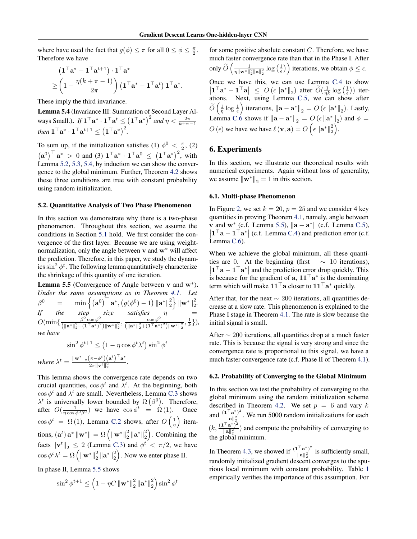where have used the fact that  $g(\phi) \leq \pi$  for all  $0 \leq \phi \leq \frac{\pi}{2}$ . Therefore we have

$$
\begin{aligned} & \left(\mathbf{1}^\top \mathbf{a}^* - \mathbf{1}^\top \mathbf{a}^{t+1}\right) \cdot \mathbf{1}^\top \mathbf{a}^* \\ \geq \left(1 - \frac{\eta(k+\pi-1)}{2\pi}\right) \left(\mathbf{1}^\top \mathbf{a}^* - \mathbf{1}^\top \mathbf{a}^t\right) \mathbf{1}^\top \mathbf{a}^*. \end{aligned}
$$

These imply the third invariance.

Lemma 5.4 (Invariance III: Summation of Second Layer Always Small.).  $If \mathbf{1}^\top \mathbf{a}^* \cdot \mathbf{1}^\top \mathbf{a}^t \leq (\mathbf{1}^\top \mathbf{a}^*)^2 \text{ and } \eta < \frac{2\pi}{k+\pi-1}$ *then*  $\mathbf{1}^\top \mathbf{a}^* \cdot \mathbf{1}^\top \mathbf{a}^{t+1} \le (\mathbf{1}^\top \mathbf{a}^*)^2$ .

To sum up, if the initialization satisfies (1)  $\phi^0 < \frac{\pi}{2}$ , (2)  $\left(\mathbf{a}^0\right)^{\top} \mathbf{a}^* > 0$  and (3)  $\mathbf{1}^{\top} \mathbf{a}^* \cdot \mathbf{1}^{\top} \mathbf{a}^0 \leq \left(\mathbf{1}^{\top} \mathbf{a}^*\right)^2$ , with Lemma 5.2, 5.3, 5.4, by induction we can show the convergence to the global minimum. Further, Theorem 4.2 shows these three conditions are true with constant probability using random initialization.

#### 5.2. Quantitative Analysis of Two Phase Phenomenon

In this section we demonstrate why there is a two-phase phenomenon. Throughout this section, we assume the conditions in Section 5.1 hold. We first consider the convergence of the first layer. Because we are using weightnormalization, only the angle between  $v$  and  $w^*$  will affect the prediction. Therefore, in this paper, we study the dynamics  $\sin^2 \phi^t$ . The following lemma quantitatively characterize the shrinkage of this quantity of one iteration.

**Lemma 5.5** (Convergence of Angle between v and  $w^*$ ). *Under the same assumptions as in Theorem 4.1. Let*  $\beta^0 \quad \quad = \quad \quad \min\left\{ \left( {\mathbf{a}^0} \right)^{\top} \mathbf{a}^*, \left( g(\phi^0) - 1 \right) \left\| \mathbf{a}^* \right\|_2^2 \right\} \left\| \mathbf{w}^* \right\|_2^2.$ *If the step size satisfies*  $\eta$  =  $O(\min\{\frac{\beta^0\cos\phi^0}{(\|\mathbf{a}^*\|_2^2 + (\mathbf{1}^\top\mathbf{a}^*)^2)\|\mathbf{w}^*\|_2^2}, \frac{\cos\phi^0}{(\|\mathbf{a}^*\|_2^2 + (\mathbf{1}^\top\mathbf{a}^*)^2)\|\mathbf{w}^*\|_2^2}, \frac{1}{k}\}),$ *we have*

$$
\sin^2 \phi^{t+1} \le \left(1 - \eta \cos \phi^t \lambda^t\right) \sin^2 \phi^t
$$
  
where 
$$
\lambda^t = \frac{\|\mathbf{w}^*\|_2 (\pi - \phi^t) (\mathbf{a}^t)^\top \mathbf{a}^*}{2\pi \|\mathbf{v}^t\|_2^2}.
$$

This lemma shows the convergence rate depends on two crucial quantities,  $\cos \phi^t$  and  $\lambda^t$ . At the beginning, both  $\cos \phi^t$  and  $\lambda^t$  are small. Nevertheless, Lemma C.3 shows  $\lambda^t$  is universally lower bounded by  $\Omega(\beta^0)$ . Therefore, after  $O(\frac{1}{\eta \cos \phi^0 \beta^0})$  we have  $\cos \phi^t = \Omega(1)$ . Once  $\cos \phi^t = \Omega(1)$ , Lemma C.2 shows, after  $O\left(\frac{1}{\eta}\right)$ ⌘ iterations,  $(\mathbf{a}^t) \mathbf{a}^* \|\mathbf{w}^*\| = \Omega \left( \|\mathbf{w}^*\|_2^2 \|\mathbf{a}^*\|_2^2 \right)$ . Combining the facts  $\|\mathbf{v}^t\|_2 \le 2$  (Lemma C.3) and  $\phi^t < \pi/2$ , we have  $\cos \phi^t \lambda^t = \Omega \left( \|\mathbf{w}^*\|_2^2 \|\mathbf{a}^*\|_2^2 \right)$ . Now we enter phase II.

In phase II, Lemma 5.5 shows

$$
\sin^2\phi^{t+1}\leq \left(1-\eta C\left\|\mathbf{w}^*\right\|_2^2\left\|\mathbf{a}^*\right\|_2^2\right)\sin^2\phi^t
$$

for some positive absolute constant *C*. Therefore, we have much faster convergence rate than that in the Phase I. After only  $\widetilde{O}\left(\frac{1}{\eta\|\mathbf{w}^*\|}\right)$  $\frac{1}{\eta \|\mathbf{w}^*\|_2^2 \|\mathbf{a}\|_2^2} \log\left(\frac{1}{\epsilon}\right)$  iterations, we obtain  $\phi \leq \epsilon$ . Once we have this, we can use Lemma C.4 to show  $|\mathbf{1}^\top \mathbf{a}^* - \mathbf{1}^\top \mathbf{a}| \leq O\left(\epsilon \|\mathbf{a}^*\|_2\right)$  after  $\widetilde{O}(\frac{1}{\eta k} \log\left(\frac{1}{\epsilon}\right))$  iterations. Next, using Lemma C.5, we can show after  $\widetilde{O}\left(\frac{1}{\eta}\log\frac{1}{\epsilon}\right)$ ) iterations,  $\|\mathbf{a} - \mathbf{a}^*\|_2 = O(\epsilon \| \mathbf{a}^*\|_2)$ . Lastly, Lemma C.6 shows if  $\|\mathbf{a} - \mathbf{a}^*\|_2 = O\left(\epsilon \|\mathbf{a}^*\|_2\right)$  and  $\phi =$  $O(\epsilon)$  we have we have  $\ell(\mathbf{v}, \mathbf{a}) = O\left(\epsilon \|\mathbf{a}^*\|_2^2\right)$ .

#### 6. Experiments

In this section, we illustrate our theoretical results with numerical experiments. Again without loss of generality, we assume  $\|\mathbf{w}^*\|_2 = 1$  in this section.

#### 6.1. Multi-phase Phenomenon

In Figure 2, we set  $k = 20$ ,  $p = 25$  and we consider 4 key quantities in proving Theorem 4.1, namely, angle between **v** and  $\mathbf{w}^*$  (c.f. Lemma 5.5),  $\|\mathbf{a} - \mathbf{a}^*\|$  (c.f. Lemma C.5),  $\left| \mathbf{1}^{\top} \mathbf{a} - \mathbf{1}^{\top} \mathbf{a}^* \right|$  (c.f. Lemma C.4) and prediction error (c.f. Lemma C.6).

When we achieve the global minimum, all these quantities are 0. At the beginning (first  $\sim$  10 iterations),  $|1^{\top}a - 1^{\top}a^*|$  and the prediction error drop quickly. This is because for the gradient of a,  $11^{\top}a^*$  is the dominating term which will make  $11^{\top}$  a closer to  $11^{\top}$  a<sup>\*</sup> quickly.

After that, for the next  $\sim 200$  iterations, all quantities decrease at a slow rate. This phenomenon is explained to the Phase I stage in Theorem 4.1. The rate is slow because the initial signal is small.

After  $\sim$  200 iterations, all quantities drop at a much faster rate. This is because the signal is very strong and since the convergence rate is proportional to this signal, we have a much faster convergence rate (c.f. Phase II of Theorem 4.1).

#### 6.2. Probability of Converging to the Global Minimum

In this section we test the probability of converging to the global minimum using the random initialization scheme described in Theorem 4.2. We set  $p = 6$  and vary  $k$ and  $\frac{(1^{\top}a^*)^2}{\|a\|^2}$ . We run 5000 random initializations for each  $(k, \frac{(\mathbf{1}^\top \mathbf{a}^*)^2}{\|\mathbf{a}\|_2^2})$  and compute the probability of converging to the global minimum.

In Theorem 4.3, we showed if  $\frac{(\mathbf{1}^\top \mathbf{a}^*)^2}{\|\mathbf{a}\|_2^2}$  is sufficiently small, randomly initialized gradient descent converges to the spurious local minimum with constant probability. Table 1 empirically verifies the importance of this assumption. For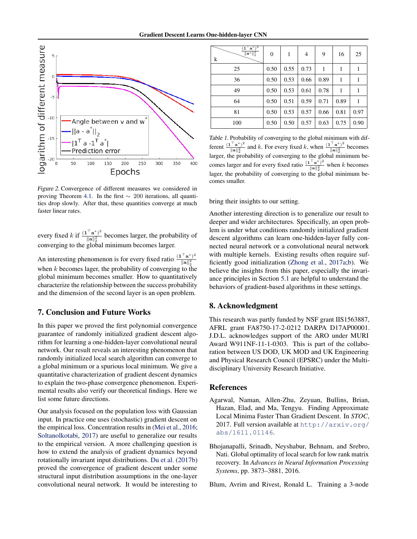

*Figure 2.* Convergence of different measures we considered in proving Theorem 4.1. In the first  $\sim 200$  iterations, all quantities drop slowly. After that, these quantities converge at much faster linear rates.

every fixed *k* if  $\frac{(\mathbf{1}^\top \mathbf{a}^*)^2}{\|\mathbf{a}\|_2^2}$  becomes larger, the probability of converging to the global minimum becomes larger.

An interesting phenomenon is for every fixed ratio  $\frac{(\mathbf{1}^T \mathbf{a}^*)^2}{\|\mathbf{a}\|_2^2}$ when  $k$  becomes lager, the probability of converging to the global minimum becomes smaller. How to quantitatively characterize the relationship between the success probability and the dimension of the second layer is an open problem.

### 7. Conclusion and Future Works

In this paper we proved the first polynomial convergence guarantee of randomly initialized gradient descent algorithm for learning a one-hidden-layer convolutional neural network. Our result reveals an interesting phenomenon that randomly initialized local search algorithm can converge to a global minimum or a spurious local minimum. We give a quantitative characterization of gradient descent dynamics to explain the two-phase convergence phenomenon. Experimental results also verify our theoretical findings. Here we list some future directions.

Our analysis focused on the population loss with Gaussian input. In practice one uses (stochastic) gradient descent on the empirical loss. Concentration results in (Mei et al., 2016; Soltanolkotabi, 2017) are useful to generalize our results to the empirical version. A more challenging question is how to extend the analysis of gradient dynamics beyond rotationally invariant input distributions. Du et al. (2017b) proved the convergence of gradient descent under some structural input distribution assumptions in the one-layer convolutional neural network. It would be interesting to

| $(\mathbf{1}^\top \mathbf{a}^*)^2$<br>$\ \mathbf{a}^*\ _2^2$<br>k | $\boldsymbol{0}$ | 1    | $\overline{4}$ | 9    | 16   | 25   |
|-------------------------------------------------------------------|------------------|------|----------------|------|------|------|
| 25                                                                | 0.50             | 0.55 | 0.73           | 1    | 1    | 1    |
| 36                                                                | 0.50             | 0.53 | 0.66           | 0.89 | 1    | 1    |
| 49                                                                | 0.50             | 0.53 | 0.61           | 0.78 | 1    | 1    |
| 64                                                                | 0.50             | 0.51 | 0.59           | 0.71 | 0.89 | 1    |
| 81                                                                | 0.50             | 0.53 | 0.57           | 0.66 | 0.81 | 0.97 |
| 100                                                               | 0.50             | 0.50 | 0.57           | 0.63 | 0.75 | 0.90 |

*Table 1.* Probability of converging to the global minimum with different  $\frac{(1^{\top}a^*)^2}{\|\mathbf{a}\|_2^2}$  and *k*. For every fixed *k*, when  $\frac{(1^{\top}a^*)^2}{\|\mathbf{a}\|_2^2}$  becomes larger, the probability of converging to the global minimum becomes larger and for every fixed ratio  $\frac{(1)^{\top} \mathbf{a}^* \cdot 2}{\|\mathbf{a}\|_2^2}$  when *k* becomes lager, the probability of converging to the global minimum becomes smaller.

bring their insights to our setting.

Another interesting direction is to generalize our result to deeper and wider architectures. Specifically, an open problem is under what conditions randomly initialized gradient descent algorithms can learn one-hidden-layer fully connected neural network or a convolutional neural network with multiple kernels. Existing results often require sufficiently good initialization (Zhong et al., 2017a;b). We believe the insights from this paper, especially the invariance principles in Section 5.1 are helpful to understand the behaviors of gradient-based algorithms in these settings.

# 8. Acknowledgment

This research was partly funded by NSF grant IIS1563887, AFRL grant FA8750-17-2-0212 DARPA D17AP00001. J.D.L. acknowledges support of the ARO under MURI Award W911NF-11-1-0303. This is part of the collaboration between US DOD, UK MOD and UK Engineering and Physical Research Council (EPSRC) under the Multidisciplinary University Research Initiative.

#### References

- Agarwal, Naman, Allen-Zhu, Zeyuan, Bullins, Brian, Hazan, Elad, and Ma, Tengyu. Finding Approximate Local Minima Faster Than Gradient Descent. In *STOC*, 2017. Full version available at http://arxiv.org/ abs/1611.01146.
- Bhojanapalli, Srinadh, Neyshabur, Behnam, and Srebro, Nati. Global optimality of local search for low rank matrix recovery. In *Advances in Neural Information Processing Systems*, pp. 3873–3881, 2016.

Blum, Avrim and Rivest, Ronald L. Training a 3-node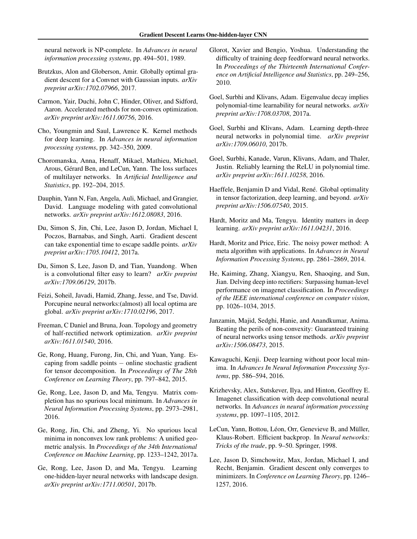neural network is NP-complete. In *Advances in neural information processing systems*, pp. 494–501, 1989.

- Brutzkus, Alon and Globerson, Amir. Globally optimal gradient descent for a Convnet with Gaussian inputs. *arXiv preprint arXiv:1702.07966*, 2017.
- Carmon, Yair, Duchi, John C, Hinder, Oliver, and Sidford, Aaron. Accelerated methods for non-convex optimization. *arXiv preprint arXiv:1611.00756*, 2016.
- Cho, Youngmin and Saul, Lawrence K. Kernel methods for deep learning. In *Advances in neural information processing systems*, pp. 342–350, 2009.
- Choromanska, Anna, Henaff, Mikael, Mathieu, Michael, Arous, Gérard Ben, and LeCun, Yann. The loss surfaces of multilayer networks. In *Artificial Intelligence and Statistics*, pp. 192–204, 2015.
- Dauphin, Yann N, Fan, Angela, Auli, Michael, and Grangier, David. Language modeling with gated convolutional networks. *arXiv preprint arXiv:1612.08083*, 2016.
- Du, Simon S, Jin, Chi, Lee, Jason D, Jordan, Michael I, Poczos, Barnabas, and Singh, Aarti. Gradient descent can take exponential time to escape saddle points. *arXiv preprint arXiv:1705.10412*, 2017a.
- Du, Simon S, Lee, Jason D, and Tian, Yuandong. When is a convolutional filter easy to learn? *arXiv preprint arXiv:1709.06129*, 2017b.
- Feizi, Soheil, Javadi, Hamid, Zhang, Jesse, and Tse, David. Porcupine neural networks:(almost) all local optima are global. *arXiv preprint arXiv:1710.02196*, 2017.
- Freeman, C Daniel and Bruna, Joan. Topology and geometry of half-rectified network optimization. *arXiv preprint arXiv:1611.01540*, 2016.
- Ge, Rong, Huang, Furong, Jin, Chi, and Yuan, Yang. Escaping from saddle points  $-$  online stochastic gradient for tensor decomposition. In *Proceedings of The 28th Conference on Learning Theory*, pp. 797–842, 2015.
- Ge, Rong, Lee, Jason D, and Ma, Tengyu. Matrix completion has no spurious local minimum. In *Advances in Neural Information Processing Systems*, pp. 2973–2981, 2016.
- Ge, Rong, Jin, Chi, and Zheng, Yi. No spurious local minima in nonconvex low rank problems: A unified geometric analysis. In *Proceedings of the 34th International Conference on Machine Learning*, pp. 1233–1242, 2017a.
- Ge, Rong, Lee, Jason D, and Ma, Tengyu. Learning one-hidden-layer neural networks with landscape design. *arXiv preprint arXiv:1711.00501*, 2017b.
- Glorot, Xavier and Bengio, Yoshua. Understanding the difficulty of training deep feedforward neural networks. In *Proceedings of the Thirteenth International Conference on Artificial Intelligence and Statistics*, pp. 249–256, 2010.
- Goel, Surbhi and Klivans, Adam. Eigenvalue decay implies polynomial-time learnability for neural networks. *arXiv preprint arXiv:1708.03708*, 2017a.
- Goel, Surbhi and Klivans, Adam. Learning depth-three neural networks in polynomial time. *arXiv preprint arXiv:1709.06010*, 2017b.
- Goel, Surbhi, Kanade, Varun, Klivans, Adam, and Thaler, Justin. Reliably learning the ReLU in polynomial time. *arXiv preprint arXiv:1611.10258*, 2016.
- Haeffele, Benjamin D and Vidal, René. Global optimality in tensor factorization, deep learning, and beyond. *arXiv preprint arXiv:1506.07540*, 2015.
- Hardt, Moritz and Ma, Tengyu. Identity matters in deep learning. *arXiv preprint arXiv:1611.04231*, 2016.
- Hardt, Moritz and Price, Eric. The noisy power method: A meta algorithm with applications. In *Advances in Neural Information Processing Systems*, pp. 2861–2869, 2014.
- He, Kaiming, Zhang, Xiangyu, Ren, Shaoqing, and Sun, Jian. Delving deep into rectifiers: Surpassing human-level performance on imagenet classification. In *Proceedings of the IEEE international conference on computer vision*, pp. 1026–1034, 2015.
- Janzamin, Majid, Sedghi, Hanie, and Anandkumar, Anima. Beating the perils of non-convexity: Guaranteed training of neural networks using tensor methods. *arXiv preprint arXiv:1506.08473*, 2015.
- Kawaguchi, Kenji. Deep learning without poor local minima. In *Advances In Neural Information Processing Systems*, pp. 586–594, 2016.
- Krizhevsky, Alex, Sutskever, Ilya, and Hinton, Geoffrey E. Imagenet classification with deep convolutional neural networks. In *Advances in neural information processing systems*, pp. 1097–1105, 2012.
- LeCun, Yann, Bottou, Léon, Orr, Genevieve B, and Müller, Klaus-Robert. Efficient backprop. In *Neural networks: Tricks of the trade*, pp. 9–50. Springer, 1998.
- Lee, Jason D, Simchowitz, Max, Jordan, Michael I, and Recht, Benjamin. Gradient descent only converges to minimizers. In *Conference on Learning Theory*, pp. 1246– 1257, 2016.